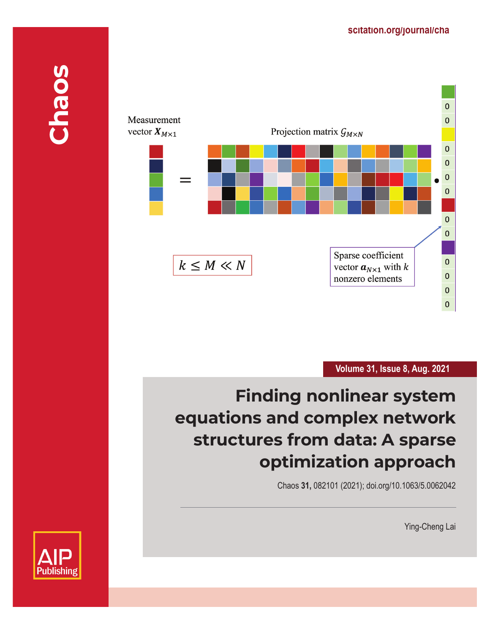

**Volume 31, Issue 8, Aug. 2021**

# **Finding nonlinear system equations and complex network structures from data: A sparse optimization approach**

Chaos **31,** 082101 (2021); doi.org/10.1063/5.0062042

Ying-Cheng Lai

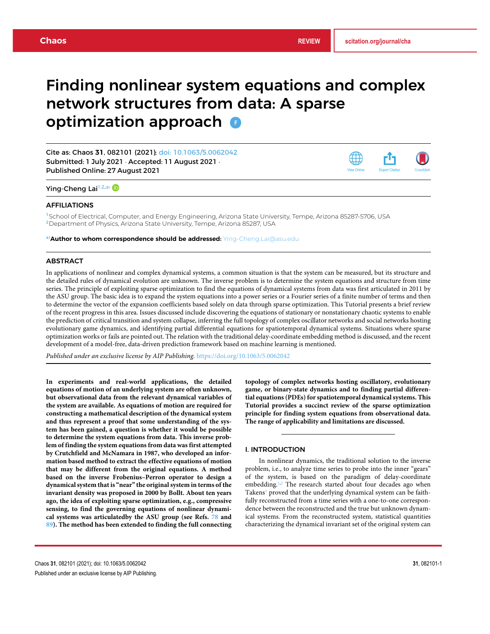# Finding nonlinear system equations and complex network structures from data: A sparse optimization approach **o**

Cite as: Chaos **31**, 082101 (2021); doi: 10.1063/5.0062042 Submitted: 1 July 2021 · Accepted: 11 August 2021 · Published Online: 27 August 2021



Ying-Cheng Lai<sup>1,2,a)</sup>

#### AFFILIATIONS

<sup>1</sup>School of Electrical, Computer, and Energy Engineering, Arizona State University, Tempe, Arizona 85287-5706, USA <sup>2</sup>Department of Physics, Arizona State University, Tempe, Arizona 85287, USA

a)**Author to whom correspondence should be addressed:** Ying-Cheng.Lai@asu.edu

#### ABSTRACT

In applications of nonlinear and complex dynamical systems, a common situation is that the system can be measured, but its structure and the detailed rules of dynamical evolution are unknown. The inverse problem is to determine the system equations and structure from time series. The principle of exploiting sparse optimization to find the equations of dynamical systems from data was first articulated in 2011 by the ASU group. The basic idea is to expand the system equations into a power series or a Fourier series of a finite number of terms and then to determine the vector of the expansion coefficients based solely on data through sparse optimization. This Tutorial presents a brief review of the recent progress in this area. Issues discussed include discovering the equations of stationary or nonstationary chaotic systems to enable the prediction of critical transition and system collapse, inferring the full topology of complex oscillator networks and social networks hosting evolutionary game dynamics, and identifying partial differential equations for spatiotemporal dynamical systems. Situations where sparse optimization works or fails are pointed out. The relation with the traditional delay-coordinate embedding method is discussed, and the recent development of a model-free, data-driven prediction framework based on machine learning is mentioned.

*Published under an exclusive license by AIP Publishing.* https://doi.org/10.1063/5.0062042

**In experiments and real-world applications, the detailed equations of motion of an underlying system are often unknown, but observational data from the relevant dynamical variables of the system are available. As equations of motion are required for constructing a mathematical description of the dynamical system and thus represent a proof that some understanding of the system has been gained, a question is whether it would be possible to determine the system equations from data. This inverse problem of finding the system equations from data was first attempted by Crutchfield and McNamara in 1987, who developed an information based method to extract the effective equations of motion that may be different from the original equations. A method based on the inverse Frobenius–Perron operator to design a dynamical system that is "near" the original system in terms of the invariant density was proposed in 2000 by Bollt. About ten years ago, the idea of exploiting sparse optimization, e.g., compressive sensing, to find the governing equations of nonlinear dynamical systems was articulatedby the ASU group (see Refs. 78 and 89). The method has been extended to finding the full connecting** **topology of complex networks hosting oscillatory, evolutionary game, or binary-state dynamics and to finding partial differential equations (PDEs) for spatiotemporal dynamical systems. This Tutorial provides a succinct review of the sparse optimization principle for finding system equations from observational data. The range of applicability and limitations are discussed.**

#### I. INTRODUCTION

In nonlinear dynamics, the traditional solution to the inverse problem, i.e., to analyze time series to probe into the inner "gears" of the system, is based on the paradigm of delay-coordinate embedding.<sup>1,2</sup> The research started about four decades ago when Takens<sup>1</sup> proved that the underlying dynamical system can be faithfully reconstructed from a time series with a one-to-one correspondence between the reconstructed and the true but unknown dynamical systems. From the reconstructed system, statistical quantities characterizing the dynamical invariant set of the original system can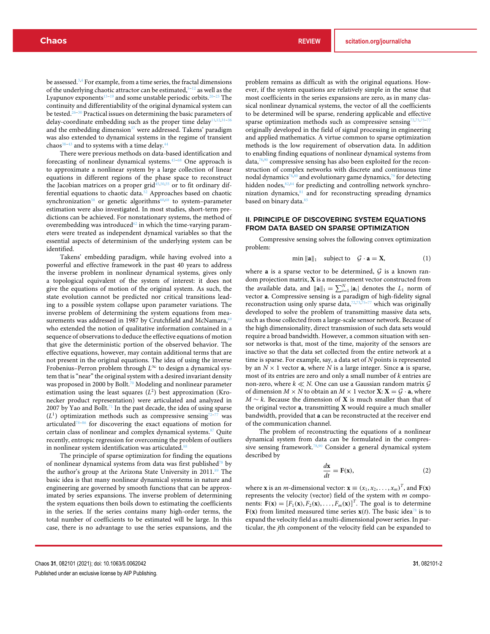be assessed.3,4 For example, from a time series, the fractal dimensions of the underlying chaotic attractor can be estimated,  $\bar{5}$  –12 as well as the Lyapunov exponents<sup>13-19</sup> and some unstable periodic orbits.<sup>20-25</sup> The continuity and differentiability of the original dynamical system can be tested.<sup>26–30</sup> Practical issues on determining the basic parameters of delay-coordinate embedding such as the proper time delay<sup>11,12,31-36</sup> and the embedding dimension<sup>37</sup> were addressed. Takens' paradigm was also extended to dynamical systems in the regime of transient chaos $38-43$  and to systems with a time delay.<sup>4</sup>

There were previous methods on data-based identification and forecasting of nonlinear dynamical systems.45–68 One approach is to approximate a nonlinear system by a large collection of linear equations in different regions of the phase space to reconstruct the Jacobian matrices on a proper grid<sup>45,50,55</sup> or to fit ordinary differential equations to chaotic data.52 Approaches based on chaotic synchronization<sup>58</sup> or genetic algorithms<sup>60,68</sup> to system-parameter estimation were also investigated. In most studies, short-term predictions can be achieved. For nonstationary systems, the method of overembedding was introduced $62$  in which the time-varying parameters were treated as independent dynamical variables so that the essential aspects of determinism of the underlying system can be identified.

Takens' embedding paradigm, while having evolved into a powerful and effective framework in the past 40 years to address the inverse problem in nonlinear dynamical systems, gives only a topological equivalent of the system of interest: it does not give the equations of motion of the original system. As such, the state evolution cannot be predicted nor critical transitions leading to a possible system collapse upon parameter variations. The inverse problem of determining the system equations from measurements was addressed in 1987 by Crutchfield and McNamara,<sup>69</sup> who extended the notion of qualitative information contained in a sequence of observations to deduce the effective equations of motion that give the deterministic portion of the observed behavior. The effective equations, however, may contain additional terms that are not present in the original equations. The idea of using the inverse Frobenius–Perron problem through *L*<sup>∞</sup> to design a dynamical system that is "near" the original system with a desired invariant density was proposed in 2000 by Bollt.<sup>70</sup> Modeling and nonlinear parameter estimation using the least squares  $(L^2)$  best approximation (Kronecker product representation) were articulated and analyzed in 2007 by Yao and Bollt.<sup>71</sup> In the past decade, the idea of using sparse  $(L<sup>1</sup>)$  optimization methods such as compressive sensing<sup>72–77</sup> was articulated<sup>78–86</sup> for discovering the exact equations of motion for certain class of nonlinear and complex dynamical systems.<sup>87</sup> Quite recently, entropic regression for overcoming the problem of outliers in nonlinear system identification was articulated.<sup>88</sup>

The principle of sparse optimization for finding the equations of nonlinear dynamical systems from data was first published78 by the author's group at the Arizona State University in 2011.<sup>89</sup> The basic idea is that many nonlinear dynamical systems in nature and engineering are governed by smooth functions that can be approximated by series expansions. The inverse problem of determining the system equations then boils down to estimating the coefficients in the series. If the series contains many high-order terms, the total number of coefficients to be estimated will be large. In this case, there is no advantage to use the series expansions, and the problem remains as difficult as with the original equations. However, if the system equations are relatively simple in the sense that most coefficients in the series expansions are zero, as in many classical nonlinear dynamical systems, the vector of all the coefficients to be determined will be sparse, rendering applicable and effective sparse optimization methods such as compressive sensing<sup>72,73,75-77</sup> originally developed in the field of signal processing in engineering and applied mathematics. A virtue common to sparse optimization methods is the low requirement of observation data. In addition to enabling finding equations of nonlinear dynamical systems from data,78,90 compressive sensing has also been exploited for the reconstruction of complex networks with discrete and continuous time nodal dynamics<sup>78,80</sup> and evolutionary game dynamics,<sup>79</sup> for detecting hidden nodes, <sup>82,84</sup> for predicting and controlling network synchronization dynamics,<sup>81</sup> and for reconstructing spreading dynamics based on binary data.<sup>85</sup>

# II. PRINCIPLE OF DISCOVERING SYSTEM EQUATIONS FROM DATA BASED ON SPARSE OPTIMIZATION

Compressive sensing solves the following convex optimization problem:

$$
\min \|a\|_1 \quad \text{subject to} \quad \mathcal{G} \cdot a = X,\tag{1}
$$

where  $a$  is a sparse vector to be determined,  $G$  is a known random projection matrix, **X** is a measurement vector constructed from the available data, and  $||\mathbf{a}||_1 = \sum_{i=1}^{N} |\mathbf{a}_i|$  denotes the  $L_1$  norm of vector **a**. Compressive sensing is a paradigm of high-fidelity signal reconstruction using only sparse data, $72,73,75-77$  which was originally developed to solve the problem of transmitting massive data sets, such as those collected from a large-scale sensor network. Because of the high dimensionality, direct transmission of such data sets would require a broad bandwidth. However, a common situation with sensor networks is that, most of the time, majority of the sensors are inactive so that the data set collected from the entire network at a time is sparse. For example, say, a data set of *N* points is represented by an  $N \times 1$  vector **a**, where *N* is a large integer. Since **a** is sparse, most of its entries are zero and only a small number of *k* entries are non-zero, where  $k \ll N$ . One can use a Gaussian random matrix  $\mathcal G$ of dimension  $M \times N$  to obtain an  $M \times 1$  vector  $X: X = G \cdot a$ , where *M* ∼ *k*. Because the dimension of **X** is much smaller than that of the original vector **a**, transmitting **X** would require a much smaller bandwidth, provided that **a** can be reconstructed at the receiver end of the communication channel.

The problem of reconstructing the equations of a nonlinear dynamical system from data can be formulated in the compressive sensing framework.<sup>78,90</sup> Consider a general dynamical system described by

$$
\frac{d\mathbf{x}}{dt} = \mathbf{F}(\mathbf{x}),\tag{2}
$$

where **x** is an *m*-dimensional vector:  $\mathbf{x} \equiv (x_1, x_2, \dots, x_m)^T$ , and  $\mathbf{F}(\mathbf{x})$ represents the velocity (vector) field of the system with *m* components:  $\mathbf{F}(\mathbf{x}) = [F_1(\mathbf{x}), F_2(\mathbf{x}), \dots, F_m(\mathbf{x})]^T$ . The goal is to determine **F(x)** from limited measured time series  $\mathbf{x}(t)$ . The basic idea<sup>78</sup> is to expand the velocity field as a multi-dimensional power series. In particular, the *j*th component of the velocity field can be expanded to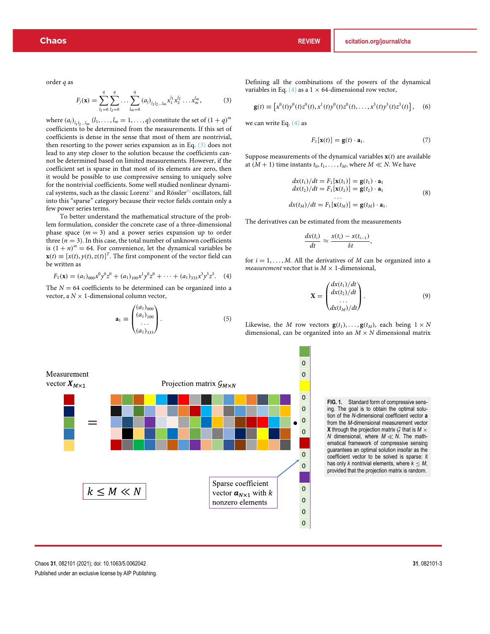order *q* as

$$
F_j(\mathbf{x}) = \sum_{l_1=0}^q \sum_{l_2=0}^q \cdots \sum_{l_m=0}^q (a_j)_{l_1 l_2 \ldots l_m} x_1^{l_1} x_2^{l_2} \ldots x_m^{l_m},
$$
(3)

where  $(a_j)_{l_1l_2...l_m}$   $(l_1, \ldots, l_m = 1, \ldots, q)$  constitute the set of  $(1 + q)^m$ coefficients to be determined from the measurements. If this set of coefficients is dense in the sense that most of them are nontrivial, then resorting to the power series expansion as in Eq. (3) does not lead to any step closer to the solution because the coefficients cannot be determined based on limited measurements. However, if the coefficient set is sparse in that most of its elements are zero, then it would be possible to use compressive sensing to uniquely solve for the nontrivial coefficients. Some well studied nonlinear dynamical systems, such as the classic Lorenz<sup>91</sup> and Rössler<sup>92</sup> oscillators, fall into this "sparse" category because their vector fields contain only a few power series terms.

To better understand the mathematical structure of the problem formulation, consider the concrete case of a three-dimensional phase space  $(m = 3)$  and a power series expansion up to order three  $(n = 3)$ . In this case, the total number of unknown coefficients is  $(1 + n)^m = 64$ . For convenience, let the dynamical variables be  $\mathbf{x}(t) \equiv [x(t), y(t), z(t)]^T$ . The first component of the vector field can be written as

$$
F_1(\mathbf{x}) = (a_1)_{000} x^0 y^0 z^0 + (a_1)_{100} x^1 y^0 z^0 + \dots + (a_1)_{333} x^3 y^3 z^3. \tag{4}
$$

The  $N = 64$  coefficients to be determined can be organized into a vector, a  $N \times 1$ -dimensional column vector,

$$
\mathbf{a}_1 \equiv \begin{pmatrix} (a_1)_{000} \\ (a_1)_{100} \\ \dots \\ (a_1)_{333} \end{pmatrix} . \tag{5}
$$

Defining all the combinations of the powers of the dynamical variables in Eq. (4) as a  $1 \times 64$ -dimensional row vector,

$$
\mathbf{g}(t) \equiv \left[ x^0(t) y^0(t) z^0(t), x^1(t) y^0(t) z^0(t), \dots, x^3(t) y^3(t) z^3(t) \right], \quad (6)
$$

we can write Eq. (4) as

$$
F_1[\mathbf{x}(t)] = \mathbf{g}(t) \cdot \mathbf{a}_1. \tag{7}
$$

Suppose measurements of the dynamical variables  $\mathbf{x}(t)$  are available at  $(M + 1)$  time instants  $t_0, t_1, \ldots, t_M$ , where  $M \ll N$ . We have

$$
dx(t_1)/dt = F_1[\mathbf{x}(t_1)] = \mathbf{g}(t_1) \cdot \mathbf{a}_1
$$
  
\n
$$
dx(t_2)/dt = F_1[\mathbf{x}(t_2)] = \mathbf{g}(t_2) \cdot \mathbf{a}_1
$$
  
\n
$$
\dots
$$
  
\n
$$
dx(t_M)/dt = F_1[\mathbf{x}(t_M)] = \mathbf{g}(t_M) \cdot \mathbf{a}_1.
$$
\n(8)

The derivatives can be estimated from the measurements

$$
\frac{dx(t_i)}{dt} \approx \frac{x(t_i) - x(t_{i-1})}{\delta t},
$$

for  $i = 1, \ldots, M$ . All the derivatives of  $M$  can be organized into a *measurement* vector that is  $M \times 1$ -dimensional,

$$
\mathbf{X} = \begin{pmatrix} dx(t_1)/dt \\ dx(t_2)/dt \\ \dots \\ dx(t_M)/dt \end{pmatrix}.
$$
 (9)

Likewise, the *M* row vectors  $\mathbf{g}(t_1), \ldots, \mathbf{g}(t_M)$ , each being  $1 \times N$ dimensional, can be organized into an  $M \times N$  dimensional matrix

**FIG. 1.** Standard form of compressive sensing. The goal is to obtain the optimal solution of the *N*-dimensional coefficient vector **a** from the *M*-dimensional measurement vector **X** through the projection matrix  $G$  that is  $M \times$ *N* dimensional, where *M* ≪ *N*. The mathematical framework of compressive sensing guarantees an optimal solution insofar as the coefficient vector to be solved is sparse: it has only *k* nontrivial elements, where  $k \leq M$ , provided that the projection matrix is random.

| Measurement                                                                                                                                | Projection matrix $G_{M \times N}$ |                                                                                       |
|--------------------------------------------------------------------------------------------------------------------------------------------|------------------------------------|---------------------------------------------------------------------------------------|
| \n $= \begin{bmatrix}\n 0 & 0 \\ 0 & 0 \\ 0 & 0 \\ 0 & 0 \\ 0 & 0 \\ 0 & 0 \\ 0 & 0 \\ 0 & 0 \\ 0 & 0 \\ k \leq M \ll N\n\end{bmatrix}$ \n | \n $R \leq M \ll N$ \n             | \n $Sparse coefficientvector a_{N \times 1} with knonzero elements\n\end{bmatrix}$ \n |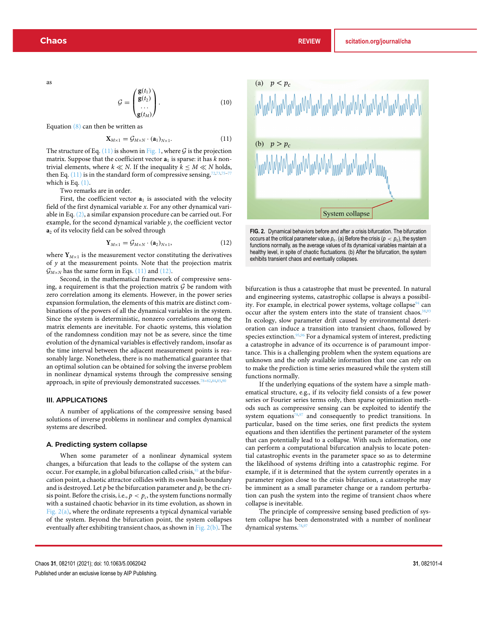as

$$
\mathcal{G} = \begin{pmatrix} \mathbf{g}(t_1) \\ \mathbf{g}(t_2) \\ \dots \\ \mathbf{g}(t_M) \end{pmatrix} . \tag{10}
$$

Equation  $(8)$  can then be written as

$$
\mathbf{X}_{M\times 1} = \mathcal{G}_{M\times N} \cdot (\mathbf{a}_1)_{N\times 1}.\tag{11}
$$

The structure of Eq. (11) is shown in Fig. 1, where  $G$  is the projection matrix. Suppose that the coefficient vector  $a_1$  is sparse: it has  $k$  nontrivial elements, where  $k \ll N$ . If the inequality  $k \leq M \ll N$  holds, then Eq.  $(11)$  is in the standard form of compressive sensing,<sup>72</sup>, which is Eq.  $(1)$ .

Two remarks are in order.

First, the coefficient vector  $a_1$  is associated with the velocity field of the first dynamical variable *x*. For any other dynamical variable in Eq. (2), a similar expansion procedure can be carried out. For example, for the second dynamical variable *y*, the coefficient vector **a**<sup>2</sup> of its velocity field can be solved through

$$
\mathbf{Y}_{M\times 1} = \mathcal{G}_{M\times N} \cdot (\mathbf{a}_2)_{N\times 1},\tag{12}
$$

where  $Y_{M\times 1}$  is the measurement vector constituting the derivatives of *y* at the measurement points. Note that the projection matrix  $\mathcal{G}_{M\times N}$  has the same form in Eqs. (11) and (12).

Second, in the mathematical framework of compressive sensing, a requirement is that the projection matrix  $G$  be random with zero correlation among its elements. However, in the power series expansion formulation, the elements of this matrix are distinct combinations of the powers of all the dynamical variables in the system. Since the system is deterministic, nonzero correlations among the matrix elements are inevitable. For chaotic systems, this violation of the randomness condition may not be as severe, since the time evolution of the dynamical variables is effectively random, insofar as the time interval between the adjacent measurement points is reasonably large. Nonetheless, there is no mathematical guarantee that an optimal solution can be obtained for solving the inverse problem in nonlinear dynamical systems through the compressive sensing approach, in spite of previously demonstrated successes.<sup>78-82,84,85,9</sup>

# III. APPLICATIONS

A number of applications of the compressive sensing based solutions of inverse problems in nonlinear and complex dynamical systems are described.

#### A. Predicting system collapse

When some parameter of a nonlinear dynamical system changes, a bifurcation that leads to the collapse of the system can occur. For example, in a global bifurcation called crisis, <sup>93</sup> at the bifurcation point, a chaotic attractor collides with its own basin boundary and is destroyed. Let  $p$  be the bifurcation parameter and  $p_c$  be the crisis point. Before the crisis, i.e.,  $p < p_c$ , the system functions normally with a sustained chaotic behavior in its time evolution, as shown in Fig. 2(a), where the ordinate represents a typical dynamical variable of the system. Beyond the bifurcation point, the system collapses eventually after exhibiting transient chaos, as shown in Fig. 2(b). The



**FIG. 2.** Dynamical behaviors before and after a crisis bifurcation. The bifurcation occurs at the critical parameter value  $p_c$ . (a) Before the crisis ( $p < p_c$ ), the system functions normally, as the average values of its dynamical variables maintain at a healthy level, in spite of chaotic fluctuations. (b) After the bifurcation, the system exhibits transient chaos and eventually collapses.

bifurcation is thus a catastrophe that must be prevented. In natural and engineering systems, catastrophic collapse is always a possibility. For example, in electrical power systems, voltage collapse<sup>94</sup> can occur after the system enters into the state of transient chaos. $38,93$ In ecology, slow parameter drift caused by environmental deterioration can induce a transition into transient chaos, followed by species extinction.<sup>95,96</sup> For a dynamical system of interest, predicting a catastrophe in advance of its occurrence is of paramount importance. This is a challenging problem when the system equations are unknown and the only available information that one can rely on to make the prediction is time series measured while the system still functions normally.

If the underlying equations of the system have a simple mathematical structure, e.g., if its velocity field consists of a few power series or Fourier series terms only, then sparse optimization methods such as compressive sensing can be exploited to identify the system equations $78,97$  and consequently to predict transitions. In particular, based on the time series, one first predicts the system equations and then identifies the pertinent parameter of the system that can potentially lead to a collapse. With such information, one can perform a computational bifurcation analysis to locate potential catastrophic events in the parameter space so as to determine the likelihood of systems drifting into a catastrophic regime. For example, if it is determined that the system currently operates in a parameter region close to the crisis bifurcation, a catastrophe may be imminent as a small parameter change or a random perturbation can push the system into the regime of transient chaos where collapse is inevitable.

The principle of compressive sensing based prediction of system collapse has been demonstrated with a number of nonlinear dynamical systems.78,97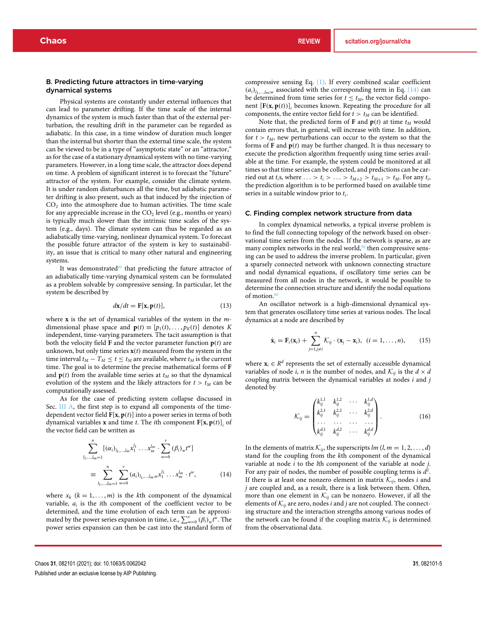#### B. Predicting future attractors in time-varying dynamical systems

Physical systems are constantly under external influences that can lead to parameter drifting. If the time scale of the internal dynamics of the system is much faster than that of the external perturbation, the resulting drift in the parameter can be regarded as adiabatic. In this case, in a time window of duration much longer than the internal but shorter than the external time scale, the system can be viewed to be in a type of "asymptotic state" or an "attractor," as for the case of a stationary dynamical system with no time-varying parameters. However, in a long time scale, the attractor does depend on time. A problem of significant interest is to forecast the "future" attractor of the system. For example, consider the climate system. It is under random disturbances all the time, but adiabatic parameter drifting is also present, such as that induced by the injection of  $CO<sub>2</sub>$  into the atmosphere due to human activities. The time scale for any appreciable increase in the  $CO<sub>2</sub>$  level (e.g., months or years) is typically much slower than the intrinsic time scales of the system (e.g., days). The climate system can thus be regarded as an adiabatically time-varying, nonlinear dynamical system. To forecast the possible future attractor of the system is key to sustainability, an issue that is critical to many other natural and engineering systems.

It was demonstrated $90$  that predicting the future attractor of an adiabatically time-varying dynamical system can be formulated as a problem solvable by compressive sensing. In particular, let the system be described by

$$
d\mathbf{x}/dt = \mathbf{F}[\mathbf{x}, \mathbf{p}(t)],\tag{13}
$$

where **x** is the set of dynamical variables of the system in the *m*dimensional phase space and  $\mathbf{p}(t) \equiv [p_1(t), \ldots, p_K(t)]$  denotes *K* independent, time-varying parameters. The tacit assumption is that both the velocity field **F** and the vector parameter function  $p(t)$  are unknown, but only time series  $\mathbf{x}(t)$  measured from the system in the time interval  $t_M - T_M \le t \le t_M$  are available, where  $t_M$  is the current time. The goal is to determine the precise mathematical forms of **F** and  $p(t)$  from the available time series at  $t_M$  so that the dynamical evolution of the system and the likely attractors for  $t > t_M$  can be computationally assessed.

As for the case of predicting system collapse discussed in Sec. III A, the first step is to expand all components of the timedependent vector field **F**[**x**, **p**(*t*)] into a power series in terms of both dynamical variables **x** and time *t*. The *i*th component **F**[**x**, **p**(*t*)]*<sup>i</sup>* of the vector field can be written as

$$
\sum_{l_1,\dots,l_m=1}^n [(\alpha_i)_{l_1,\dots,l_m} x_1^{l_1} \dots x_m^{l_m} \cdot \sum_{w=0}^v (\beta_i)_{w} t^w]
$$
  
\n
$$
\equiv \sum_{l_1,\dots,l_m=1}^n \sum_{w=0}^v (a_i)_{l_1,\dots,l_m;w} x_1^{l_1} \dots x_m^{l_m} \cdot t^w, \qquad (14)
$$

where  $x_k$  ( $k = 1, \ldots, m$ ) is the *k*th component of the dynamical variable,  $a_i$  is the *i*th component of the coefficient vector to be determined, and the time evolution of each term can be approximated by the power series expansion in time, i.e.,  $\sum_{w=0}^{v} (\beta_i)_w \hat{t}^w$ . The power series expansion can then be cast into the standard form of compressive sensing Eq. (1). If every combined scalar coefficient  $(a_i)$ <sub>l1,*malm*;*w* associated with the corresponding term in Eq. (14) can</sub> be determined from time series for  $t \leq t_M$ , the vector field component [**F**(**x**, **p**(*t*))]*<sup>i</sup>* becomes known. Repeating the procedure for all components, the entire vector field for  $t > t_M$  can be identified.

Note that, the predicted form of **F** and  $p(t)$  at time  $t_M$  would contain errors that, in general, will increase with time. In addition, for  $t > t_M$ , new perturbations can occur to the system so that the forms of **F** and **p**(*t*) may be further changed. It is thus necessary to execute the prediction algorithm frequently using time series available at the time. For example, the system could be monitored at all times so that time series can be collected, and predictions can be carried out at  $t_i$ s, where  $\ldots > t_i > \ldots > t_{M+2} > t_{M+1} > t_M$ . For any  $t_i$ , the prediction algorithm is to be performed based on available time series in a suitable window prior to *ti*.

#### C. Finding complex network structure from data

In complex dynamical networks, a typical inverse problem is to find the full connecting topology of the network based on observational time series from the nodes. If the network is sparse, as are many complex networks in the real world, $98$  then compressive sensing can be used to address the inverse problem. In particular, given a sparsely connected network with unknown connecting structure and nodal dynamical equations, if oscillatory time series can be measured from all nodes in the network, it would be possible to determine the connection structure and identify the nodal equations of motion. $8$ 

An oscillator network is a high-dimensional dynamical system that generates oscillatory time series at various nodes. The local dynamics at a node are described by

$$
\dot{\mathbf{x}}_i = \mathbf{F}_i(\mathbf{x}_i) + \sum_{j=1, j\neq i}^n \mathcal{K}_{ij} \cdot (\mathbf{x}_j - \mathbf{x}_i), \quad (i = 1, \ldots, n), \qquad (15)
$$

where  $\mathbf{x}_i \in \mathbb{R}^d$  represents the set of externally accessible dynamical variables of node *i*, *n* is the number of nodes, and  $\mathcal{K}_{ii}$  is the  $d \times d$ coupling matrix between the dynamical variables at nodes *i* and *j* denoted by

$$
\mathcal{K}_{ij} = \begin{pmatrix} k_{ij}^{1,1} & k_{ij}^{1,2} & \cdots & k_{ij}^{1,d} \\ k_{ij}^{2,1} & k_{ij}^{2,2} & \cdots & k_{ij}^{2,d} \\ \cdots & \cdots & \cdots & \cdots \\ k_{ij}^{d,1} & k_{ij}^{d,2} & \cdots & k_{ij}^{d,d} \end{pmatrix} .
$$
 (16)

In the elements of matrix  $\mathcal{K}_{ij}$ , the superscripts  $lm$  ( $l, m = 1, 2, ..., d$ ) stand for the coupling from the *k*th component of the dynamical variable at node *i* to the *l*th component of the variable at node *j*. For any pair of nodes, the number of possible coupling terms is *d*2. If there is at least one nonzero element in matrix  $\mathcal{K}_{ij}$ , nodes *i* and *j* are coupled and, as a result, there is a link between them. Often, more than one element in  $K_{ij}$  can be nonzero. However, if all the elements of  $K_{ij}$  are zero, nodes *i* and *j* are not coupled. The connecting structure and the interaction strengths among various nodes of the network can be found if the coupling matrix  $K_{ij}$  is determined from the observational data.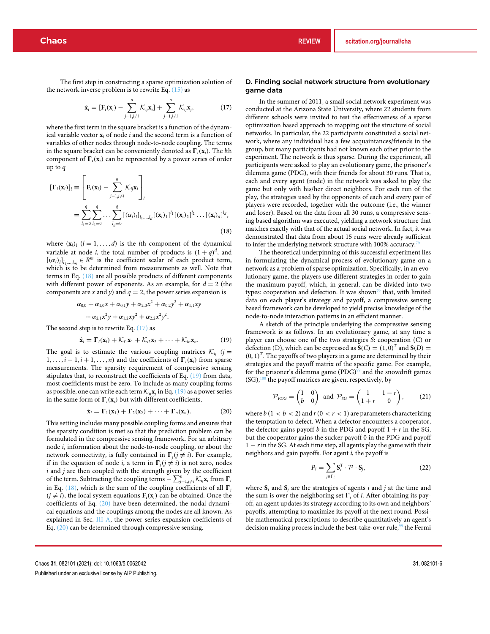The first step in constructing a sparse optimization solution of the network inverse problem is to rewrite Eq.  $(15)$  as

$$
\dot{\mathbf{x}}_i = [\mathbf{F}_i(\mathbf{x}_i) - \sum_{j=1, j\neq i}^n \mathcal{K}_{ij}\mathbf{x}_i] + \sum_{j=1, j\neq i}^n \mathcal{K}_{ij}\mathbf{x}_j,
$$
(17)

where the first term in the square bracket is a function of the dynamical variable vector  $\mathbf{x}_i$  of node  $i$  and the second term is a function of variables of other nodes through node-to-node coupling. The terms in the square bracket can be conveniently denoted as  $\mathbf{\Gamma}_i(\mathbf{x}_i)$ . The *l*th component of  $\Gamma_i(\mathbf{x}_i)$  can be represented by a power series of order up to *q*

$$
\begin{aligned} \left[\mathbf{\Gamma}_{i}(\mathbf{x}_{i})\right]_{l} & \equiv \left[\mathbf{F}_{i}(\mathbf{x}_{i}) - \sum_{j=1, j\neq i}^{n} \mathcal{K}_{ij}\mathbf{x}_{i}\right]_{l} \\ & = \sum_{l_{1}=0}^{q} \sum_{l_{2}=0}^{q} \dots \sum_{l_{d}=0}^{q} \left[ (\alpha_{i})_{l}\right]_{l_{1},\dots,l_{d}}^{l_{1}} \left[ (\mathbf{x}_{i})_{1}\right]^{l_{1}} \left[ (\mathbf{x}_{i})_{2}\right]^{l_{2}} \dots \left[ (\mathbf{x}_{l})_{d}\right]^{l_{d}}, \end{aligned} \tag{18}
$$

where  $(\mathbf{x}_i)$   $(l = 1, \ldots, d)$  is the *l*th component of the dynamical variable at node *i*, the total number of products is  $(1+q)^d$ , and  $[(\alpha_i)_l]_{l_1,...,l_m} \in R^m$  is the coefficient scalar of each product term, which is to be determined from measurements as well. Note that terms in Eq. (18) are all possible products of different components with different power of exponents. As an example, for  $d = 2$  (the components are *x* and *y*) and  $q = 2$ , the power series expansion is

$$
\alpha_{0,0} + \alpha_{1,0}x + \alpha_{0,1}y + \alpha_{2,0}x^2 + \alpha_{0,2}y^2 + \alpha_{1,1}xy
$$
  
+ 
$$
\alpha_{2,1}x^2y + \alpha_{1,2}xy^2 + \alpha_{2,2}x^2y^2.
$$

The second step is to rewrite Eq. (17) as

$$
\dot{\mathbf{x}}_i = \mathbf{\Gamma}_i(\mathbf{x}_i) + \mathcal{K}_{i1}\mathbf{x}_1 + \mathcal{K}_{i2}\mathbf{x}_2 + \cdots + \mathcal{K}_{in}\mathbf{x}_n.
$$
 (19)

The goal is to estimate the various coupling matrices  $K_{ij}$  (*j* = 1, ..., *i* − 1, *i* + 1, ..., *n*) and the coefficients of  $\Gamma_i(\mathbf{x}_i)$  from sparse measurements. The sparsity requirement of compressive sensing stipulates that, to reconstruct the coefficients of Eq. (19) from data, most coefficients must be zero. To include as many coupling forms as possible, one can write each term  $K_{ij}$ **x**<sub>*j*</sub> in Eq. (19) as a power series in the same form of  $\mathbf{\Gamma}_i(\mathbf{x}_i)$  but with different coefficients,

$$
\dot{\mathbf{x}}_i = \mathbf{\Gamma}_1(\mathbf{x}_1) + \mathbf{\Gamma}_2(\mathbf{x}_2) + \cdots + \mathbf{\Gamma}_n(\mathbf{x}_n).
$$
 (20)

This setting includes many possible coupling forms and ensures that the sparsity condition is met so that the prediction problem can be formulated in the compressive sensing framework. For an arbitrary node *i*, information about the node-to-node coupling, or about the network connectivity, is fully contained in  $\Gamma_i$  (*j*  $\neq$  *i*). For example, if in the equation of node *i*, a term in  $\Gamma_i$  (*j*  $\neq$  *i*) is not zero, nodes *i* and *j* are then coupled with the strength given by the coefficient of the term. Subtracting the coupling terms  $-\sum_{j=1,j\neq i}^{n}$  *K*<sub>*ij*</sub>**x**<sub>*i*</sub> from  $\Gamma$ <sub>*i*</sub> in Eq. (18), which is the sum of the coupling coefficients of all  $\Gamma$ <sub>*j*</sub>  $(j \neq i)$ , the local system equations  $\mathbf{F}_i(\mathbf{x}_i)$  can be obtained. Once the coefficients of Eq. (20) have been determined, the nodal dynamical equations and the couplings among the nodes are all known. As explained in Sec. III A, the power series expansion coefficients of Eq. (20) can be determined through compressive sensing.

# D. Finding social network structure from evolutionary game data

In the summer of 2011, a small social network experiment was conducted at the Arizona State University, where 22 students from different schools were invited to test the effectiveness of a sparse optimization based approach to mapping out the structure of social networks. In particular, the 22 participants constituted a social network, where any individual has a few acquaintances/friends in the group, but many participants had not known each other prior to the experiment. The network is thus sparse. During the experiment, all participants were asked to play an evolutionary game, the prisoner's dilemma game (PDG), with their friends for about 30 runs. That is, each and every agent (node) in the network was asked to play the game but only with his/her direct neighbors. For each run of the play, the strategies used by the opponents of each and every pair of players were recorded, together with the outcome (i.e., the winner and loser). Based on the data from all 30 runs, a compressive sensing based algorithm was executed, yielding a network structure that matches exactly with that of the actual social network. In fact, it was demonstrated that data from about 15 runs were already sufficient to infer the underlying network structure with 100% accuracy.

The theoretical underpinning of this successful experiment lies in formulating the dynamical process of evolutionary game on a network as a problem of sparse optimization. Specifically, in an evolutionary game, the players use different strategies in order to gain the maximum payoff, which, in general, can be divided into two types: cooperation and defection. It was shown<sup>79</sup> that, with limited data on each player's strategy and payoff, a compressive sensing based framework can be developed to yield precise knowledge of the node-to-node interaction patterns in an efficient manner.

A sketch of the principle underlying the compressive sensing framework is as follows. In an evolutionary game, at any time a player can choose one of the two strategies *S*: cooperation (C) or defection (D), which can be expressed as  $\mathbf{S}(C) = (1,0)^T$  and  $\mathbf{S}(D) =$  $(0, 1)^T$ . The payoffs of two players in a game are determined by their strategies and the payoff matrix of the specific game. For example, for the prisoner's dilemma game (PDG)<sup>99</sup> and the snowdrift games  $(SG)$ ,<sup>100</sup> the payoff matrices are given, respectively, by

$$
\mathcal{P}_{PDG} = \begin{pmatrix} 1 & 0 \\ b & 0 \end{pmatrix} \text{ and } \mathcal{P}_{SG} = \begin{pmatrix} 1 & 1-r \\ 1+r & 0 \end{pmatrix}, \qquad (21)
$$

where  $b(1 < b < 2)$  and  $r(0 < r < 1)$  are parameters characterizing the temptation to defect. When a defector encounters a cooperator, the defector gains payoff *b* in the PDG and payoff  $1 + r$  in the SG, but the cooperator gains the sucker payoff 0 in the PDG and payoff 1 − *r* in the SG. At each time step, all agents play the game with their neighbors and gain payoffs. For agent *i*, the payoff is

$$
P_i = \sum_{j \in \Gamma_i} \mathbf{S}_i^T \cdot \mathcal{P} \cdot \mathbf{S}_j,\tag{22}
$$

where  $S_i$  and  $S_j$  are the strategies of agents *i* and *j* at the time and the sum is over the neighboring set  $\Gamma_i$  of *i*. After obtaining its payoff, an agent updates its strategy according to its own and neighbors' payoffs, attempting to maximize its payoff at the next round. Possible mathematical prescriptions to describe quantitatively an agent's decision making process include the best-take-over rule,<sup>99</sup> the Fermi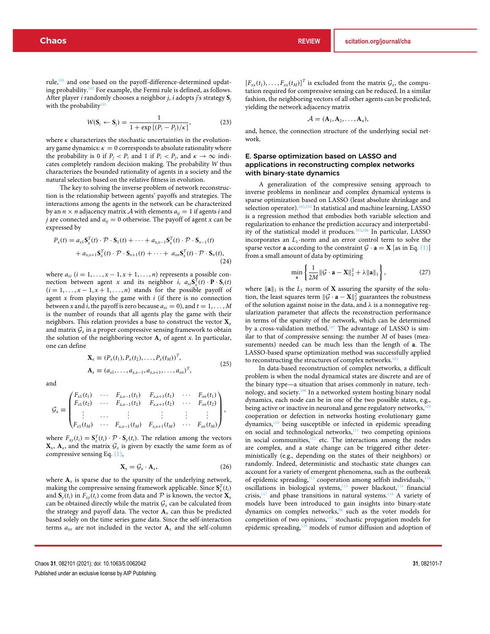rule,101 and one based on the payoff-difference-determined updating probability.102 For example, the Fermi rule is defined, as follows. After player *i* randomly chooses a neighbor *j*, *i* adopts *j*'s strategy **S***<sup>j</sup>* with the probability<sup>1</sup>

$$
W(\mathbf{S}_i \leftarrow \mathbf{S}_j) = \frac{1}{1 + \exp\left[ (P_i - P_j) / \kappa \right]},\tag{23}
$$

where  $\kappa$  characterizes the stochastic uncertainties in the evolutionary game dynamics:  $\kappa = 0$  corresponds to absolute rationality where the probability is 0 if  $P_i < P_i$  and 1 if  $P_i < P_j$ , and  $\kappa \to \infty$  indicates completely random decision making. The probability *W* thus characterizes the bounded rationality of agents in a society and the natural selection based on the relative fitness in evolution.

The key to solving the inverse problem of network reconstruction is the relationship between agents' payoffs and strategies. The interactions among the agents in the network can be characterized by an  $n \times n$  adjacency matrix A with elements  $a_{ii} = 1$  if agents *i* and *j* are connected and  $a_{ij} = 0$  otherwise. The payoff of agent *x* can be expressed by

$$
P_x(t) = a_{x1} \mathbf{S}_x^T(t) \cdot \mathcal{P} \cdot \mathbf{S}_1(t) + \dots + a_{x,x-1} \mathbf{S}_x^T(t) \cdot \mathcal{P} \cdot \mathbf{S}_{x-1}(t)
$$
  
+ 
$$
a_{x,x+1} \mathbf{S}_x^T(t) \cdot \mathcal{P} \cdot \mathbf{S}_{x+1}(t) + \dots + a_{xn} \mathbf{S}_x^T(t) \cdot \mathcal{P} \cdot \mathbf{S}_n(t),
$$
(24)

where  $a_{xi}$  ( $i = 1, \ldots, x - 1, x + 1, \ldots, n$ ) represents a possible connection between agent *x* and its neighbor *i*,  $a_{xi}S_x^T(t) \cdot P \cdot S_i(t)$  $(i = 1, \ldots, x - 1, x + 1, \ldots, n)$  stands for the possible payoff of agent *x* from playing the game with *i* (if there is no connection between *x* and *i*, the payoff is zero because  $a_{xi} = 0$ , and  $t = 1, ..., M$ is the number of rounds that all agents play the game with their neighbors. This relation provides a base to construct the vector **X***<sup>x</sup>* and matrix  $G_x$  in a proper compressive sensing framework to obtain the solution of the neighboring vector  $A_x$  of agent *x*. In particular, one can define

$$
\mathbf{X}_x \equiv (P_x(t_1), P_x(t_2), \dots, P_x(t_M))^T, \n\mathbf{A}_x \equiv (a_{x1}, \dots, a_{xx-1}, a_{x,x+1}, \dots, a_{xn})^T,
$$
\n(25)

and

$$
\mathcal{G}_x \equiv \begin{pmatrix} F_{x1}(t_1) & \cdots & F_{x,x-1}(t_1) & F_{x,x+1}(t_1) & \cdots & F_{xn}(t_1) \\ F_{x1}(t_2) & \cdots & F_{x,x-1}(t_2) & F_{x,x+1}(t_2) & \cdots & F_{xn}(t_2) \\ \vdots & \cdots & \vdots & \vdots & \vdots & \vdots \\ F_{x1}(t_M) & \cdots & F_{x,x-1}(t_M) & F_{x,x+1}(t_M) & \cdots & F_{xn}(t_M) \end{pmatrix},
$$

where  $F_{xy}(t_i) = \mathbf{S}_x^T(t_i) \cdot \mathcal{P} \cdot \mathbf{S}_y(t_i)$ . The relation among the vectors  $\mathbf{X}_x$ ,  $\mathbf{A}_x$ , and the matrix  $\mathcal{G}_x$  is given by exactly the same form as of compressive sensing Eq. (1),

$$
\mathbf{X}_x = \mathcal{G}_x \cdot \mathbf{A}_x, \tag{26}
$$

where  $A_x$  is sparse due to the sparsity of the underlying network, making the compressive sensing framework applicable. Since  $S_x^T(t_i)$ and  $S_y(t_i)$  in  $F_{xy}(t_i)$  come from data and  $P$  is known, the vector  $X_x$ can be obtained directly while the matrix  $G_x$  can be calculated from the strategy and payoff data. The vector  $A_x$  can thus be predicted based solely on the time series game data. Since the self-interaction terms  $a_{xx}$  are not included in the vector  $A_x$  and the self-column

 $[F_{xx}(t_1),...,F_{xx}(t_M)]^T$  is excluded from the matrix  $\mathcal{G}_x$ , the computation required for compressive sensing can be reduced. In a similar fashion, the neighboring vectors of all other agents can be predicted, yielding the network adjacency matrix

$$
\mathcal{A}=(A_1,A_2,\ldots,A_n),
$$

and, hence, the connection structure of the underlying social network.

# E. Sparse optimization based on LASSO and applications in reconstructing complex networks with binary-state dynamics

A generalization of the compressive sensing approach to inverse problems in nonlinear and complex dynamical systems is sparse optimization based on LASSO (least absolute shrinkage and selection operator).<sup>103,104</sup> In statistical and machine learning, LASSO is a regression method that embodies both variable selection and regularization to enhance the prediction accuracy and interpretability of the statistical model it produces.105,106 In particular, LASSO incorporates an  $L_1$ -norm and an error control term to solve the sparse vector **a** according to the constraint  $\mathcal{G} \cdot \mathbf{a} = \mathbf{X}$  [as in Eq. (1)] from a small amount of data by optimizing

$$
\min_{\mathbf{a}} \left\{ \frac{1}{2M} \|\mathcal{G} \cdot \mathbf{a} - \mathbf{X}\|_{2}^{2} + \lambda \|\mathbf{a}\|_{1} \right\},\tag{27}
$$

where  $\|\mathbf{a}\|_1$  is the  $L_1$  norm of **X** assuring the sparsity of the solution, the least squares term  $\|\mathcal{G} \cdot \mathbf{a} - \mathbf{X}\|_2^2$  guarantees the robustness of the solution against noise in the data, and  $\lambda$  is a nonnegative regularization parameter that affects the reconstruction performance in terms of the sparsity of the network, which can be determined by a cross-validation method.<sup>107</sup> The advantage of LASSO is similar to that of compressive sensing: the number *M* of bases (measurements) needed can be much less than the length of **a**. The LASSO-based sparse optimization method was successfully applied to reconstructing the structures of complex networks.<sup>10</sup>

In data-based reconstruction of complex networks, a difficult problem is when the nodal dynamical states are discrete and are of the binary type—a situation that arises commonly in nature, technology, and society.108 In a networked system hosting binary nodal dynamics, each node can be in one of the two possible states, e.g., being active or inactive in neuronal and gene regulatory networks,<sup>10</sup> cooperation or defection in networks hosting evolutionary game dynamics,110 being susceptible or infected in epidemic spreading on social and technological networks,<sup>111</sup> two competing opinions in social communities, $112$  etc. The interactions among the nodes are complex, and a state change can be triggered either deterministically (e.g., depending on the states of their neighbors) or randomly. Indeed, deterministic and stochastic state changes can account for a variety of emergent phenomena, such as the outbreak of epidemic spreading,<sup>113</sup> cooperation among selfish individuals,<sup>114</sup> oscillations in biological systems,<sup>115</sup> power blackout,<sup>116</sup> financial crisis, $117$  and phase transitions in natural systems.<sup>118</sup> A variety of models have been introduced to gain insights into binary-state dynamics on complex networks,98 such as the voter models for competition of two opinions,<sup>119</sup> stochastic propagation models for epidemic spreading,<sup>120</sup> models of rumor diffusion and adoption of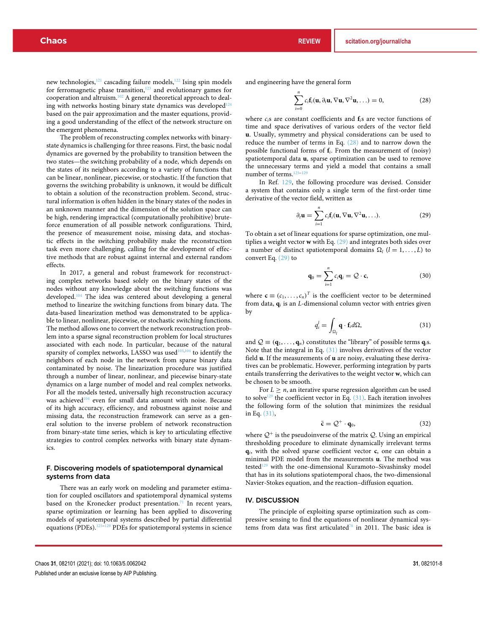new technologies,<sup>121</sup> cascading failure models,<sup>122</sup> Ising spin models for ferromagnetic phase transition, $123$  and evolutionary games for cooperation and altruism.102 A general theoretical approach to dealing with networks hosting binary state dynamics was developed<sup>124</sup> based on the pair approximation and the master equations, providing a good understanding of the effect of the network structure on the emergent phenomena.

The problem of reconstructing complex networks with binarystate dynamics is challenging for three reasons. First, the basic nodal dynamics are governed by the probability to transition between the two states—the switching probability of a node, which depends on the states of its neighbors according to a variety of functions that can be linear, nonlinear, piecewise, or stochastic. If the function that governs the switching probability is unknown, it would be difficult to obtain a solution of the reconstruction problem. Second, structural information is often hidden in the binary states of the nodes in an unknown manner and the dimension of the solution space can be high, rendering impractical (computationally prohibitive) bruteforce enumeration of all possible network configurations. Third, the presence of measurement noise, missing data, and stochastic effects in the switching probability make the reconstruction task even more challenging, calling for the development of effective methods that are robust against internal and external random effects.

In 2017, a general and robust framework for reconstructing complex networks based solely on the binary states of the nodes without any knowledge about the switching functions was developed.104 The idea was centered about developing a general method to linearize the switching functions from binary data. The data-based linearization method was demonstrated to be applicable to linear, nonlinear, piecewise, or stochastic switching functions. The method allows one to convert the network reconstruction problem into a sparse signal reconstruction problem for local structures associated with each node. In particular, because of the natural sparsity of complex networks, LASSO was used<sup>103,104</sup> to identify the neighbors of each node in the network from sparse binary data contaminated by noise. The linearization procedure was justified through a number of linear, nonlinear, and piecewise binary-state dynamics on a large number of model and real complex networks. For all the models tested, universally high reconstruction accuracy was achieved<sup>104</sup> even for small data amount with noise. Because of its high accuracy, efficiency, and robustness against noise and missing data, the reconstruction framework can serve as a general solution to the inverse problem of network reconstruction from binary-state time series, which is key to articulating effective strategies to control complex networks with binary state dynamics.

# F. Discovering models of spatiotemporal dynamical systems from data

There was an early work on modeling and parameter estimation for coupled oscillators and spatiotemporal dynamical systems based on the Kronecker product presentation.<sup>71</sup> In recent years, sparse optimization or learning has been applied to discovering models of spatiotemporal systems described by partial differential equations (PDEs).<sup>125–129</sup> PDEs for spatiotemporal systems in science and engineering have the general form

$$
\sum_{i=0}^{n} c_i \mathbf{f}_i(\mathbf{u}, \partial_t \mathbf{u}, \nabla \mathbf{u}, \nabla^2 \mathbf{u}, \ldots) = 0,
$$
 (28)

where *ci*s are constant coefficients and **f***i*s are vector functions of time and space derivatives of various orders of the vector field **u**. Usually, symmetry and physical considerations can be used to reduce the number of terms in Eq. (28) and to narrow down the possible functional forms of **f***i*. From the measurement of (noisy) spatiotemporal data **u**, sparse optimization can be used to remove the unnecessary terms and yield a model that contains a small number of terms.<sup>12</sup>

In Ref. 129, the following procedure was devised. Consider a system that contains only a single term of the first-order time derivative of the vector field, written as

$$
\partial_t \mathbf{u} = \sum_{i=1}^n c_i \mathbf{f}_i(\mathbf{u}, \nabla \mathbf{u}, \nabla^2 \mathbf{u}, \ldots).
$$
 (29)

To obtain a set of linear equations for sparse optimization, one multiplies a weight vector **w** with Eq. (29) and integrates both sides over a number of distinct spatiotemporal domains  $\Omega_l$  ( $l = 1, \ldots, L$ ) to convert Eq. (29) to

$$
\mathbf{q}_0 = \sum_{i=1}^n c_i \mathbf{q}_i = \mathcal{Q} \cdot \mathbf{c}, \qquad (30)
$$

where  $\mathbf{c} \equiv (c_1, \ldots, c_n)^T$  is the coefficient vector to be determined from data, **q***<sup>i</sup>* is an *L*-dimensional column vector with entries given by

$$
q_i^l = \int_{\Omega_l} \mathbf{q} \cdot \mathbf{f}_i d\Omega, \tag{31}
$$

and  $Q \equiv (\mathbf{q}_1, \dots, \mathbf{q}_n)$  constitutes the "library" of possible terms  $\mathbf{q}_i$ s. Note that the integral in Eq. (31) involves derivatives of the vector field **u**. If the measurements of **u** are noisy, evaluating these derivatives can be problematic. However, performing integration by parts entails transferring the derivatives to the weight vector **w**, which can be chosen to be smooth.

For  $L \geq n$ , an iterative sparse regression algorithm can be used to solve<sup>129</sup> the coefficient vector in Eq.  $(31)$ . Each iteration involves the following form of the solution that minimizes the residual in Eq. (31),

$$
\bar{\mathbf{c}} = \mathcal{Q}^+ \cdot \mathbf{q}_0,\tag{32}
$$

where  $Q^+$  is the pseudoinverse of the matrix  $Q$ . Using an empirical thresholding procedure to eliminate dynamically irrelevant terms **q***i*, with the solved sparse coefficient vector **c**, one can obtain a minimal PDE model from the measurements **u**. The method was tested<sup>129</sup> with the one-dimensional Kuramoto-Sivashinsky model that has in its solutions spatiotemporal chaos, the two-dimensional Navier-Stokes equation, and the reaction–diffusion equation.

#### IV. DISCUSSION

The principle of exploiting sparse optimization such as compressive sensing to find the equations of nonlinear dynamical systems from data was first articulated<sup>78</sup> in 2011. The basic idea is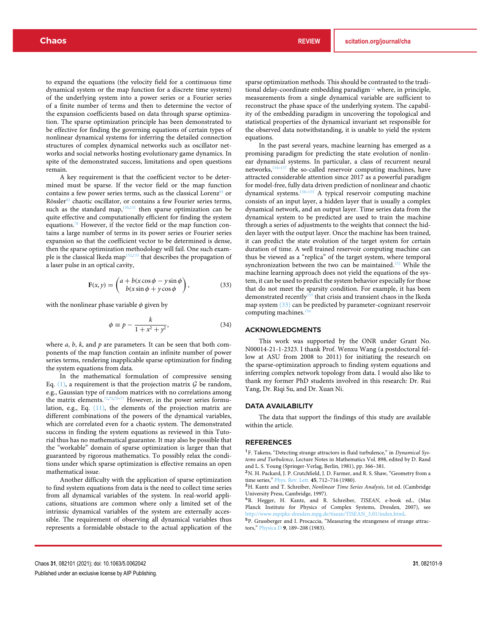to expand the equations (the velocity field for a continuous time dynamical system or the map function for a discrete time system) of the underlying system into a power series or a Fourier series of a finite number of terms and then to determine the vector of the expansion coefficients based on data through sparse optimization. The sparse optimization principle has been demonstrated to be effective for finding the governing equations of certain types of nonlinear dynamical systems for inferring the detailed connection structures of complex dynamical networks such as oscillator networks and social networks hosting evolutionary game dynamics. In spite of the demonstrated success, limitations and open questions remain.

A key requirement is that the coefficient vector to be determined must be sparse. If the vector field or the map function contains a few power series terms, such as the classical Lorenz<sup>91</sup> or Rössler<sup>92</sup> chaotic oscillator, or contains a few Fourier series terms, such as the standard map, $130,131$  then sparse optimization can be quite effective and computationally efficient for finding the system equations.78 However, if the vector field or the map function contains a large number of terms in its power series or Fourier series expansion so that the coefficient vector to be determined is dense, then the sparse optimization methodology will fail. One such example is the classical Ikeda map<sup>132,133</sup> that describes the propagation of a laser pulse in an optical cavity,

$$
\mathbf{F}(x, y) = \begin{pmatrix} a + b(x\cos\phi - y\sin\phi) \\ b(x\sin\phi + y\cos\phi) \end{pmatrix},
$$
 (33)

with the nonlinear phase variable  $\phi$  given by

$$
\phi \equiv p - \frac{k}{1 + x^2 + y^2},\tag{34}
$$

where *a*, *b*, *k*, and *p* are parameters. It can be seen that both components of the map function contain an infinite number of power series terms, rendering inapplicable sparse optimization for finding the system equations from data.

In the mathematical formulation of compressive sensing Eq.  $(1)$ , a requirement is that the projection matrix  $\mathcal G$  be random, e.g., Gaussian type of random matrices with no correlations among the matrix elements.<sup>72,73,75-77</sup> However, in the power series formulation, e.g., Eq. (11), the elements of the projection matrix are different combinations of the powers of the dynamical variables, which are correlated even for a chaotic system. The demonstrated success in finding the system equations as reviewed in this Tutorial thus has no mathematical guarantee. It may also be possible that the "workable" domain of sparse optimization is larger than that guaranteed by rigorous mathematics. To possibly relax the conditions under which sparse optimization is effective remains an open mathematical issue.

Another difficulty with the application of sparse optimization to find system equations from data is the need to collect time series from all dynamical variables of the system. In real-world applications, situations are common where only a limited set of the intrinsic dynamical variables of the system are externally accessible. The requirement of observing all dynamical variables thus represents a formidable obstacle to the actual application of the

sparse optimization methods. This should be contrasted to the traditional delay-coordinate embedding paradigm $1,2$  where, in principle, measurements from a single dynamical variable are sufficient to reconstruct the phase space of the underlying system. The capability of the embedding paradigm in uncovering the topological and statistical properties of the dynamical invariant set responsible for the observed data notwithstanding, it is unable to yield the system equations.

In the past several years, machine learning has emerged as a promising paradigm for predicting the state evolution of nonlinear dynamical systems. In particular, a class of recurrent neural networks,<sup>134–137</sup> the so-called reservoir computing machines, have attracted considerable attention since 2017 as a powerful paradigm for model-free, fully data driven prediction of nonlinear and chaotic dynamical systems.138–155 A typical reservoir computing machine consists of an input layer, a hidden layer that is usually a complex dynamical network, and an output layer. Time series data from the dynamical system to be predicted are used to train the machine through a series of adjustments to the weights that connect the hidden layer with the output layer. Once the machine has been trained, it can predict the state evolution of the target system for certain duration of time. A well trained reservoir computing machine can thus be viewed as a "replica" of the target system, where temporal synchronization between the two can be maintained.<sup>152</sup> While the machine learning approach does not yield the equations of the system, it can be used to predict the system behavior especially for those that do not meet the sparsity condition. For example, it has been demonstrated recently<sup>155</sup> that crisis and transient chaos in the Ikeda map system (33) can be predicted by parameter-cognizant reservoir computing machines.<sup>19</sup>

# ACKNOWLEDGMENTS

This work was supported by the ONR under Grant No. N00014-21-1-2323. I thank Prof. Wenxu Wang (a postdoctoral fellow at ASU from 2008 to 2011) for initiating the research on the sparse-optimization approach to finding system equations and inferring complex network topology from data. I would also like to thank my former PhD students involved in this research: Dr. Rui Yang, Dr. Riqi Su, and Dr. Xuan Ni.

## DATA AVAILABILITY

The data that support the findings of this study are available within the article.

#### REFERENCES

<sup>1</sup>F. Takens, "Detecting strange attractors in fluid turbulence," in *Dynamical Systems and Turbulence*, Lecture Notes in Mathematics Vol. 898, edited by D. Rand and L. S. Young (Springer-Verlag, Berlin, 1981), pp. 366–381.

<sup>2</sup>N. H. Packard, J. P. Crutchfield, J. D. Farmer, and R. S. Shaw, "Geometry from a time series," Phys. Rev. Lett. **45**, 712–716 (1980).

<sup>3</sup>H. Kantz and T. Schreiber, *Nonlinear Time Series Analysis*, 1st ed. (Cambridge University Press, Cambridge, 1997).

<sup>4</sup>R. Hegger, H. Kantz, and R. Schreiber, *TISEAN*, e-book ed., (Max Planck Institute for Physics of Complex Systems, Dresden, 2007), see http://www.mpipks-dresden.mpg.de/tisean/TISEAN\_3.01/index.html.

<sup>5</sup>P. Grassberger and I. Procaccia, "Measuring the strangeness of strange attractors," Physica D **9**, 189–208 (1983).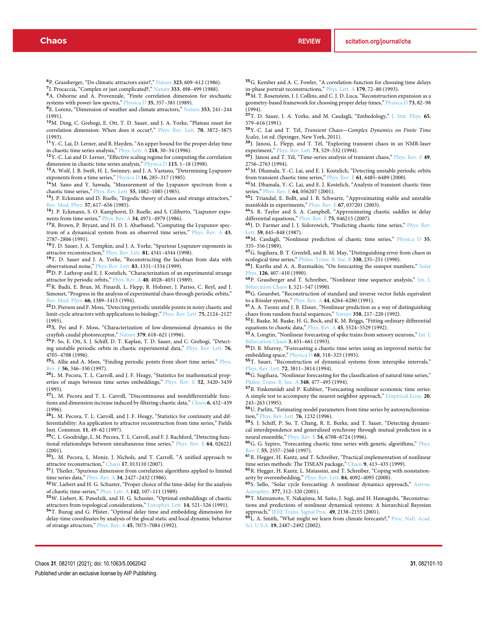<sup>6</sup>P. Grassberger, "Do climatic attractors exist?," Nature **323**, 609–612 (1986).

<sup>7</sup>I. Procaccia, "Complex or just complicated?," Nature **333**, 498–499 (1988). <sup>8</sup>A. Osborne and A. Provenzale, "Finite correlation dimension for stochastic

systems with power-law spectra," Physica D **35**, 357–381 (1989). <sup>9</sup>E. Lorenz, "Dimension of weather and climate attractors," Nature **353**, 241–244

(1991).

<sup>10</sup>M. Ding, C. Grebogi, E. Ott, T. D. Sauer, and J. A. Yorke, "Plateau onset for correlation dimension: When does it occur?," Phys. Rev. Lett. **70**, 3872–3875 (1993).

<sup>11</sup>Y.-C. Lai, D. Lerner, and R. Hayden, "An upper bound for the proper delay time in chaotic time series analysis," Phys. Lett. A **218**, 30–34 (1996).

 $\rm ^{12}Y$  .-C. Lai and D. Lerner, "Effective scaling regime for computing the correlation dimension in chaotic time series analysis," Physica D **115**, 1–18 (1998).

<sup>13</sup>A. Wolf, J. B. Swift, H. L. Swinney, and J. A. Vastano, "Determining Lyapunov exponents from a time series," Physica D **16**, 285–317 (1985).

<sup>14</sup>M. Sano and Y. Sawada, "Measurement of the Lyapunov spectrum from a chaotic time series," Phys. Rev. Lett. **55**, 1082–1085 (1985).

<sup>15</sup>J. P. Eckmann and D. Ruelle, "Ergodic theory of chaos and strange attractors," Rev. Mod. Phys. **57**, 617–656 (1985).

<sup>16</sup>J. P. Eckmann, S. O. Kamphorst, D. Ruelle, and S. Ciliberto, "Liapunov exponents from time series," Phys. Rev. A **34**, 4971–4979 (1986).

<sup>17</sup>R. Brown, P. Bryant, and H. D. I. Abarbanel, "Computing the Lyapunov spectrum of a dynamical system from an observed time series," Phys. Rev. A **43**, 2787–2806 (1991).

<sup>18</sup>T. D. Sauer, J. A. Tempkin, and J. A. Yorke, "Spurious Lyapunov exponents in attractor reconstruction," Phys. Rev. Lett. **81**, 4341–4344 (1998).

<sup>19</sup>T. D. Sauer and J. A. Yorke, "Reconstructing the Jacobian from data with observational noise," Phys. Rev. Lett. **83**, 1331–1334 (1999).

<sup>20</sup>D. P. Lathrop and E. J. Kostelich, "Characterization of an experimental strange

attractor by periodic orbits," <u>Phys. Rev. A **40**, 4028–4031</u> (1989).<br><sup>21</sup> R. Badii, E. Brun, M. Finardi, L. Flepp, R. Holzner, J. Pariso, C. Reyl, and J. Simonet, "Progress in the analysis of experimental chaos through periodic orbits," Rev. Mod. Phys. **66**, 1389–1415 (1994).

<sup>22</sup>D. Pierson and F. Moss, "Detecting periodic unstable points in noisy chaotic and limit-cycle attractors with applications to biology," Phys. Rev. Lett. **75**, 2124–2127 (1995).

<sup>23</sup>X. Pei and F. Moss, "Characterization of low-dimensional dynamics in the crayfish caudal photoreceptor," Nature **379**, 618–621 (1996).

<sup>24</sup>P. So, E. Ott, S. J. Schiff, D. T. Kaplan, T. D. Sauer, and C. Grebogi, "Detecting unstable periodic orbits in chaotic experimental data," Phys. Rev. Lett. **76**, 4705–4708 (1996).

<sup>25</sup>S. Allie and A. Mees, "Finding periodic points from short time series," Phys. Rev. E **56**, 346–350 (1997).

<sup>26</sup>L. M. Pecora, T. L. Carroll, and J. F. Heagy, "Statistics for mathematical properties of maps between time series embeddings," Phys. Rev. E **52**, 3420–3439 (1995).

<sup>27</sup>L. M. Pecora and T. L. Carroll, "Discontinuous and nondifferentiable functions and dimension increase induced by filtering chaotic data," Chaos **6**, 432–439 (1996).

<sup>28</sup>L. M. Pecora, T. L. Carroll, and J. F. Heagy, "Statistics for continuity and differentiability: An application to attractor reconstruction from time series," Fields Inst. Commun. **11**, 49–62 (1997).

<sup>29</sup>C. L. Goodridge, L. M. Pecora, T. L. Carroll, and F. J. Rachford, "Detecting functional relationships between simultaneous time series," Phys. Rev. E **64**, 026221 (2001).

<sup>30</sup>L. M. Pecora, L. Moniz, J. Nichols, and T. Carroll, "A unified approach to attractor reconstruction," Chaos **17**, 013110 (2007).

<sup>31</sup>J. Theiler, "Spurious dimension from correlation algorithms applied to limited time series data," Phys. Rev. A **34**, 2427–2432 (1986).

<sup>32</sup>W. Liebert and H. G. Schuster, "Proper choice of the time-delay for the analysis

of chaotic time-series," <u>Phys. Lett. A **142**,</u> 107–111 (1989).<br><sup>33</sup>W. Liebert, K. Pawelzik, and H. G. Schuster, "Optimal embeddings of chaotic attractors from topological considerations," Europhys. Lett. **14**, 521–526 (1991).

<sup>34</sup>T. Buzug and G. Pfister, "Optimal delay time and embedding dimension for delay-time coordinates by analysis of the glocal static and local dynamic behavior of strange attractors," Phys. Rev. A **45**, 7073–7084 (1992).

<sup>35</sup>G. Kember and A. C. Fowler, "A correlation-function for choosing time delays in-phase portrait reconstructions," Phys. Lett. A 1**79**, 72–80 (1993).<br><sup>36</sup>M. T. Rosenstein, J. J. Collins, and C. J. D. Luca, "Reconstruction expansion as a

geometry-based framework for choosing proper delay times," Physica D **73**, 82–98 (1994).

<sup>37</sup>T. D. Sauer, J. A. Yorke, and M. Casdagli, "Embedology," J. Stat. Phys. **65**, 579–616 (1991).

<sup>38</sup>Y.-C. Lai and T. Tél, *Transient Chaos—Complex Dynamics on Finite Time Scales*, 1st ed. (Springer, New York, 2011).

<sup>39</sup>J. Jánosi, L. Flepp, and T. Tél, "Exploring transient chaos in an NMR-laser experiment," Phys. Rev. Lett. **73**, 529–532 (1994).

<sup>40</sup>J. Jánosi and T. Tél, "Time-series analysis of transient chaos," Phys. Rev. E **49**, 2756–2763 (1994).

<sup>41</sup>M. Dhamala, Y.-C. Lai, and E. J. Kostelich, "Detecting unstable periodic orbits from transient chaotic time series," Phys. Rev. E **61**, 6485–6489 (2000).

<sup>42</sup>M. Dhamala, Y.-C. Lai, and E. J. Kostelich, "Analysis of transient chaotic time series," Phys. Rev. E **64**, 056207 (2001).

43<sub>I.</sub> Triandaf, E. Bollt, and I. B. Schwartz, "Approximating stable and unstable manifolds in experiments," Phys. Rev. E **67**, 037201 (2003).

<sup>44</sup>S. R. Taylor and S. A. Campbell, "Approximating chaotic saddles in delay differential equations," Phys. Rev. E **75**, 046215 (2007).

<sup>45</sup>J. D. Farmer and J. J. Sidorowich, "Predicting chaotic time series," Phys. Rev. Lett. **59**, 845–848 (1987).

<sup>46</sup>M. Casdagli, "Nonlinear prediction of chaotic time series," Physica D **35**, 335–356 (1989).

 $\rm ^{47}G.$  Sugihara, B. T. Grenfell, and R. M. May, "Distinguishing error from chaos in ecological time series," Philos. Trans. R. Soc. B **330**, 235–251 (1990).

<sup>48</sup>J. Kurths and A. A. Ruzmaikin, "On forecasting the sunspot numbers," Solar Phys. **126**, 407–410 (1990).

<sup>49</sup>P. Grassberger and T. Schreiber, "Nonlinear time sequence analysis," Int. J. Bifurcation Chaos **1**, 521–547 (1990).

<sup>50</sup>G. Gouesbet, "Reconstruction of standard and inverse vector fields equivalent to a Rössler system," Phys. Rev. A **44**, 6264–6280 (1991).

<sup>51</sup>A. A. Tsonis and J. B. Elsner, "Nonlinear prediction as a way of distinguishing chaos from random fractal sequences," Nature **358**, 217–220 (1992).

<sup>52</sup>E. Baake, M. Baake, H. G. Bock, and K. M. Briggs, "Fitting ordinary differential equations to chaotic data," Phys. Rev. A **45**, 5524–5529 (1992).

53<br>A. Longtin, "Nonlinear forecasting of spike trains from sensory neurons," Int. J. Bifurcation Chaos **3**, 651–661 (1993).

<sup>54</sup>D. B. Murray, "Forecasting a chaotic time series using an improved metric for embedding space," Physica D **68**, 318–325 (1993).

<sup>55</sup>T. Sauer, "Reconstruction of dynamical systems from interspike intervals," Phys. Rev. Lett. **72**, 3811–3814 (1994).

 $\overline{\bf{56}}_{\rm G}$  Sugihara, "Nonlinear forecasting for the classification of natural time series," Philos. Trans. R. Soc. A **348**, 477–495 (1994).

<sup>57</sup>B. Finkenstädt and P. Kuhbier, "Forecasting nonlinear economic time series: A simple test to accompany the nearest neighbor approach," Empirical Econ. **20**, 243–263 (1995).

<sup>58</sup>U. Parlitz, "Estimating model parameters from time series by autosynchronization," Phys. Rev. Lett. **76**, 1232 (1996).

<sup>59</sup>S. J. Schiff, P. So, T. Chang, R. E. Burke, and T. Sauer, "Detecting dynamical interdependence and generalized synchrony through mutual prediction in a neural ensemble," Phys. Rev. E **54**, 6708–6724 (1996).

<sup>60</sup>G. G. Szpiro, "Forecasting chaotic time series with genetic algorithms," Phys. Rev. E **55**, 2557–2568 (1997).

 $^{\textbf{\textup{61}}}$  R. Hegger, H. Kantz, and T. Schreiber, "Practical implementation of nonlinear time series methods: The TISEAN package," Chaos 9, 413-435 (1999)

<sup>62</sup>R. Hegger, H. Kantz, L. Matassini, and T. Schreiber, "Coping with nonstationarity by overembedding," Phys. Rev. Lett. **84**, 4092–4095 (2000).

<sup>63</sup>S. Sello, "Solar cycle forecasting: A nonlinear dynamics approach," Astron. Astrophys. **377**, 312–320 (2001).

<sup>64</sup>T. Matsumoto, Y. Nakajima, M. Saito, J. Sugi, and H. Hamagishi, "Reconstructions and predictions of nonlinear dynamical systems: A hierarchical Bayesian

approach," IEEE Trans. Signal Proc. **49,** 2138–2155 (2001).<br><sup>65</sup>L. A. Smith, "What might we learn from climate forecasts?," Proc. Natl. Acad. Sci. U.S.A. **19**, 2487–2492 (2002).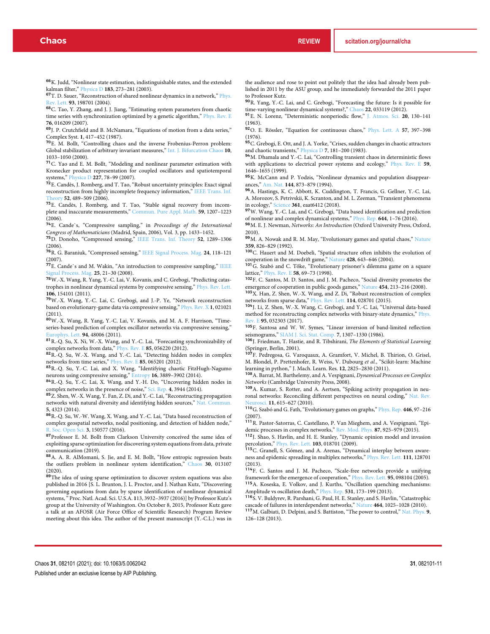<sup>66</sup>K. Judd, "Nonlinear state estimation, indistinguishable states, and the extended kalman filter," Physica D **183**, 273–281 (2003).

<sup>67</sup>T. D. Sauer, "Reconstruction of shared nonlinear dynamics in a network," Phys. Rev. Lett. **93**, 198701 (2004).

<sup>68</sup>C. Tao, Y. Zhang, and J. J. Jiang, "Estimating system parameters from chaotic time series with synchronization optimized by a genetic algorithm," Phys. Rev. E **76**, 016209 (2007).

<sup>69</sup>J. P. Crutchfield and B. McNamara, "Equations of motion from a data series," Complex Syst. **1**, 417–452 (1987).

<sup>70</sup>E. M. Bollt, "Controlling chaos and the inverse Frobenius-Perron problem: Global stabilization of arbitrary invariant measures," Int. J. Bifurcation Chaos **10**, 1033–1050 (2000).

<sup>71</sup>C. Yao and E. M. Bollt, "Modeling and nonlinear parameter estimation with Kronecker product representation for coupled oscillators and spatiotemporal systems," Physica D **227**, 78–99 (2007).

<sup>72</sup>E. Candès, J. Romberg, and T. Tao, "Robust uncertainty principles: Exact signal reconstruction from highly incomplete frequency information," IEEE Trans. Inf. Theory **52**, 489–509 (2006).

<sup>73</sup>E. Candès, J. Romberg, and T. Tao, "Stable signal recovery from incomplete and inaccurate measurements," Commun. Pure Appl. Math. **59**, 1207–1223  $(2006)$ 

<sup>74</sup>E. Cande`s, "Compressive sampling," in *Proceedings of the International Congress of Mathematicians* (Madrid, Spain, 2006), Vol. 3, pp. 1433–1452.

<sup>75</sup>D. Donoho, "Compressed sensing," IEEE Trans. Inf. Theory **52**, 1289–1306  $(2006)$ 

<sup>76</sup>R. G. Baraniuk, "Compressed sensing," IEEE Signal Process. Mag. **24**, 118–121 (2007).

<sup>77</sup>E. Cande`s and M. Wakin, "An introduction to compressive sampling," IEEE Signal Process. Mag. **25**, 21–30 (2008).

<sup>78</sup>W.-X. Wang, R. Yang, Y.-C. Lai, V. Kovanis, and C. Grebogi, "Predicting catastrophes in nonlinear dynamical systems by compressive sensing," Phys. Rev. Lett. **106**, 154101 (2011).

<sup>79</sup>W.-X. Wang, Y.-C. Lai, C. Grebogi, and J.-P. Ye, "Network reconstruction based on evolutionary-game data via compressive sensing," Phys. Rev. X **1**, 021021

(2011).<br><sup>80</sup>W.-X. Wang, R. Yang, Y.-C. Lai, V. Kovanis, and M. A. F. Harrison, "Timeseries-based prediction of complex oscillator networks via compressive sensing," Europhys. Lett. **94**, 48006 (2011).

<sup>81</sup>R.-Q. Su, X. Ni, W.-X. Wang, and Y.-C. Lai, "Forecasting synchronizability of complex networks from data," Phys. Rev. E **85**, 056220 (2012).

<sup>82</sup>R.-Q. Su, W.-X. Wang, and Y.-C. Lai, "Detecting hidden nodes in complex networks from time series," Phys. Rev. E **85**, 065201 (2012).

<sup>83</sup>R.-Q. Su, Y.-C. Lai, and X. Wang, "Identifying chaotic FitzHugh-Nagumo

neurons using compressive sensing," Entropy **16**, 3889–3902 (2014). <sup>84</sup>R.-Q. Su, Y.-C. Lai, X. Wang, and Y.-H. Do, "Uncovering hidden nodes in complex networks in the presence of noise," Sci. Rep. **4**, 3944 (2014).

85 Z. Shen, W.-X. Wang, Y. Fan, Z. Di, and Y.-C. Lai, "Reconstructing propagation networks with natural diversity and identifying hidden sources," Nat. Communication **5**, 4323 (2014).

<sup>86</sup>R.-Q. Su, W.-W. Wang, X. Wang, and Y.-C. Lai, "Data based reconstruction of complex geospatial networks, nodal positioning, and detection of hidden node," R. Soc. Open Sci. **3**, 150577 (2016).

87Professor E. M. Bollt from Clarkson University conceived the same idea of exploiting sparse optimization for discovering system equations from data, private communication (2019).

<sup>88</sup>A. A. R. AlMomani, S. Jie, and E. M. Bollt, "How entropic regression beats the outliers problem in nonlinear system identification," Chaos **30**, 013107 (2020).<br><sup>89</sup>The idea of using sparse optimization to discover system equations was also

published in 2016 [S. L. Brunton, J. L. Proctor, and J. Nathan Kutz, "Discovering governing equations from data by sparse identification of nonlinear dynamical systems, " Proc. Natl. Acad. Sci. U.S.A. **1**13, 3932–3937 (2016)] by Professor Kutz's group at the University of Washington. On October 8, 2015, Professor Kutz gave a talk at an AFOSR (Air Force Office of Scientific Research) Program Review meeting about this idea. The author of the present manuscript (Y.-C.L.) was in

the audience and rose to point out politely that the idea had already been published in 2011 by the ASU group, and he immediately forwarded the 2011 paper to Professor Kutz.

<sup>90</sup>R. Yang, Y.-C. Lai, and C. Grebogi, "Forecasting the future: Is it possible for time-varying nonlinear dynamical systems?," Chaos **22**, 033119 (2012). <sup>91</sup>E. N. Lorenz, "Deterministic nonperiodic flow," J. Atmos. Sci. **20**, 130–141

(1963). <sup>92</sup>O. E. Rössler, "Equation for continuous chaos," Phys. Lett. A **57**, 397–398

(1976).

93 C. Grebogi, E. Ott, and J. A. Yorke, "Crises, sudden changes in chaotic attractors and chaotic transients," Physica D **7**, 181–200 (1983).

94 M. Dhamala and Y.-C. Lai, "Controlling transient chaos in deterministic flows with applications to electrical power systems and ecology," Phys. Rev. E **59**, 1646–1655 (1999).

<sup>95</sup>K. McCann and P. Yodzis, "Nonlinear dynamics and population disappearances," Am. Nat. **144**, 873–879 (1994).

<sup>96</sup>A. Hastings, K. C. Abbott, K. Cuddington, T. Francis, G. Gellner, Y.-C. Lai, A. Morozov, S. Petrivskii, K. Scranton, and M. L. Zeeman, "Transient phenomena in ecology," Science **361**, eaat6412 (2018).

<sup>97</sup>W. Wang, Y.-C. Lai, and C. Grebogi, "Data based identification and prediction of nonlinear and complex dynamical systems," Phys. Rep. **644**, 1–76 (2016).

<sup>98</sup>M. E. J. Newman, *Networks: An Introduction* (Oxford University Press, Oxford, 2010).

<sup>99</sup>M. A. Nowak and R. M. May, "Evolutionary games and spatial chaos," Nature **359**, 826–829 (1992).

<sup>100</sup>C. Hauert and M. Doebeli, "Spatial structure often inhibits the evolution of

cooperation in the snowdrift game," Nature 428, 643–646 (2004).<br><sup>101</sup>G. Szabó and C. Tőke, "Evolutionary prisoner's dilemma game on a square lattice," Phys. Rev. E **58**, 69–73 (1998).

<sup>102</sup>F. C. Santos, M. D. Santos, and J. M. Pacheco, "Social diversity promotes the emergence of cooperation in public goods games," Nature **454**, 213–216 (2008).

<sup>103</sup>X. Han, Z. Shen, W.-X. Wang, and Z. Di, "Robust reconstruction of complex networks from sparse data," Phys. Rev. Lett. **114**, 028701 (2015).

<sup>104</sup>J. Li, Z. Shen, W.-X. Wang, C. Grebogi, and Y.-C. Lai, "Universal data-based method for reconstructing complex networks with binary-state dynamics," Phys. Rev. E **95**, 032303 (2017).

<sup>105</sup>F. Santosa and W. W. Symes, "Linear inversion of band-limited reflection seismograms," SIAM J. Sci. Stat. Comp. **7**, 1307–1330 (1986).

<sup>106</sup>J. Friedman, T. Hastie, and R. Tibshirani, *The Elements of Statistical Learning* (Springer, Berlin, 2001).

<sup>107</sup>F. Pedregosa, G. Varoquaux, A. Gramfort, V. Michel, B. Thirion, O. Grisel, M. Blondel, P. Prettenhofer, R. Weiss, V. Dubourg *et al.*, "Scikit-learn: Machine learning in python," J. Mach. Learn. Res. **12**, 2825–2830 (2011).

<sup>108</sup>A. Barrat, M. Barthelemy, and A. Vespignani, *Dynamical Processes on Complex Networks* (Cambridge University Press, 2008).

<sup>109</sup>A. Kumar, S. Rotter, and A. Aertsen, "Spiking activity propagation in neuronal networks: Reconciling different perspectives on neural coding," Nat. Rev. Neurosci. **11**, 615–627 (2010).

<sup>110</sup>G. Szabó and G. Fath, "Evolutionary games on graphs," Phys. Rep. **446**, 97–216 (2007).

<sup>111</sup>R. Pastor-Satorras, C. Castellano, P. Van Mieghem, and A. Vespignani, "Epidemic processes in complex networks," Rev. Mod. Phys. **87**, 925–979 (2015).

<sup>112</sup>J. Shao, S. Havlin, and H. E. Stanley, "Dynamic opinion model and invasion percolation," Phys. Rev. Lett. **103**, 018701 (2009).

percolation, Filys. Nev. Lett. 100, 010/01 (2007).<br><sup>113</sup>C. Granell, S. Gómez, and A. Arenas, "Dynamical interplay between awareness and epidemic spreading in multiplex networks," Phys. Rev. Lett. **111**, 128701 (2013).

<sup>114</sup>F. C. Santos and J. M. Pacheco, "Scale-free networks provide a unifying framework for the emergence of cooperation," Phys. Rev. Lett. **95**, 098104 (2005). <sup>115</sup>A. Koseska, E. Volkov, and J. Kurths, "Oscillation quenching mechanisms: Amplitude vs oscillation death," Phys. Rep. **531**, 173–199 (2013).

<sup>116</sup>S. V. Buldyrev, R. Parshani, G. Paul, H. E. Stanley, and S. Havlin, "Catastrophic cascade of failures in interdependent networks," Nature **464**, 1025–1028 (2010).

<sup>117</sup>M. Galbiati, D. Delpini, and S. Battiston, "The power to control," Nat. Phys. **9**, 126–128 (2013).